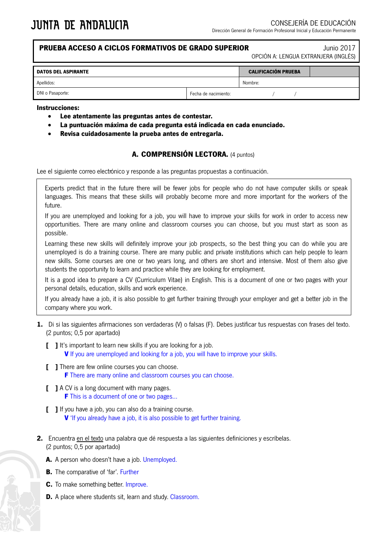## **PRUEBA ACCESO A CICLOS FORMATIVOS DE GRADO SUPERIOR** Junio 2017

OPCIÓN A: LENGUA EXTRANJERA (INGLÉS)

| <b>DATOS DEL ASPIRANTE</b> |                      | <b>CALIFICACIÓN PRUEBA</b> |  |  |  |
|----------------------------|----------------------|----------------------------|--|--|--|
| Apellidos:                 |                      | Nombre:                    |  |  |  |
| DNI o Pasaporte:           | Fecha de nacimiento: |                            |  |  |  |

#### **Instrucciones:**

- **Lee atentamente las preguntas antes de contestar.**
- **La puntuación máxima de cada pregunta está indicada en cada enunciado.**
- **Revisa cuidadosamente la prueba antes de entregarla.**

### **A. COMPRENSIÓN LECTORA.** (4 puntos)

Lee el siguiente correo electrónico y responde a las preguntas propuestas a continuación.

Experts predict that in the future there will be fewer jobs for people who do not have computer skills or speak languages. This means that these skills will probably become more and more important for the workers of the future.

If you are unemployed and looking for a job, you will have to improve your skills for work in order to access new opportunities. There are many online and classroom courses you can choose, but you must start as soon as possible.

Learning these new skills will definitely improve your job prospects, so the best thing you can do while you are unemployed is do a training course. There are many public and private institutions which can help people to learn new skills. Some courses are one or two years long, and others are short and intensive. Most of them also give students the opportunity to learn and practice while they are looking for employment.

It is a good idea to prepare a CV (Curriculum Vitae) in English. This is a document of one or two pages with your personal details, education, skills and work experience.

If you already have a job, it is also possible to get further training through your employer and get a better job in the company where you work.

- **1.** Di si las siguientes afirmaciones son verdaderas (V) o falsas (F). Debes justificar tus respuestas con frases del texto. (2 puntos; 0,5 por apartado)
	- **[ ]** It's important to learn new skills if you are looking for a job. **V** If you are unemployed and looking for a job, you will have to improve your skills.
	- **[ ]** There are few online courses you can choose. **F** There are many online and classroom courses you can choose.
	- **[ ]** A CV is a long document with many pages. **F** This is a document of one or two pages...
	- **[ ]** If you have a job, you can also do a training course. **V** 'If you already have a job, it is also possible to get further training.
- **2.** Encuentra en el texto una palabra que dé respuesta a las siguientes definiciones y escríbelas. (2 puntos; 0,5 por apartado)
	- **A.** A person who doesn't have a job. Unemployed.
	- **B.** The comparative of 'far'. Further
	- **C.** To make something better. Improve.
	- **D.** A place where students sit, learn and study. Classroom.